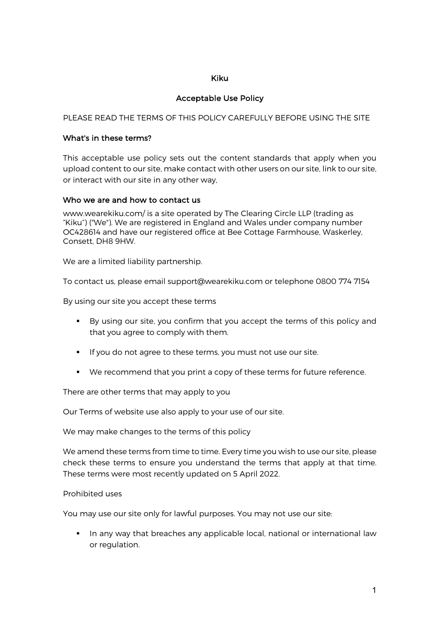# Kiku

### Acceptable Use Policy

PLEASE READ THE TERMS OF THIS POLICY CAREFULLY BEFORE USING THE SITE

### What's in these terms?

This acceptable use policy sets out the content standards that apply when you upload content to our site, make contact with other users on our site, link to our site, or interact with our site in any other way,

### Who we are and how to contact us

www.wearekiku.com/ is a site operated by The Clearing Circle LLP (trading as "Kiku") ("We"). We are registered in England and Wales under company number OC428614 and have our registered office at Bee Cottage Farmhouse, Waskerley, Consett, DH8 9HW.

We are a limited liability partnership.

To contact us, please email support@wearekiku.com or telephone 0800 774 7154

By using our site you accept these terms

- § By using our site, you confirm that you accept the terms of this policy and that you agree to comply with them.
- **•** If you do not agree to these terms, you must not use our site.
- § We recommend that you print a copy of these terms for future reference.

There are other terms that may apply to you

Our Terms of website use also apply to your use of our site.

We may make changes to the terms of this policy

We amend these terms from time to time. Every time you wish to use our site, please check these terms to ensure you understand the terms that apply at that time. These terms were most recently updated on 5 April 2022.

#### Prohibited uses

You may use our site only for lawful purposes. You may not use our site:

**•** In any way that breaches any applicable local, national or international law or regulation.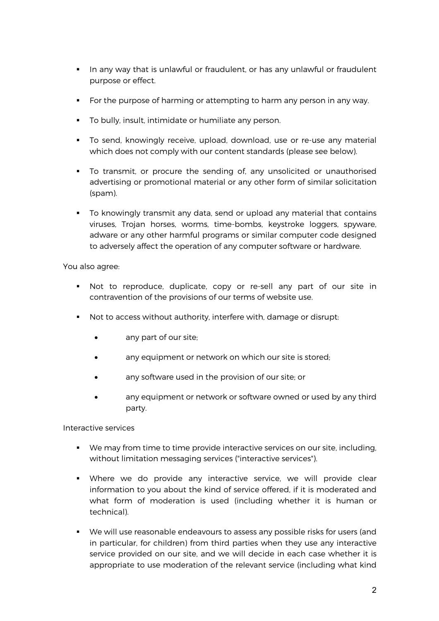- **•** In any way that is unlawful or fraudulent, or has any unlawful or fraudulent purpose or effect.
- § For the purpose of harming or attempting to harm any person in any way.
- To bully, insult, intimidate or humiliate any person.
- § To send, knowingly receive, upload, download, use or re-use any material which does not comply with our content standards (please see below).
- § To transmit, or procure the sending of, any unsolicited or unauthorised advertising or promotional material or any other form of similar solicitation (spam).
- § To knowingly transmit any data, send or upload any material that contains viruses, Trojan horses, worms, time-bombs, keystroke loggers, spyware, adware or any other harmful programs or similar computer code designed to adversely affect the operation of any computer software or hardware.

You also agree:

- § Not to reproduce, duplicate, copy or re-sell any part of our site in contravention of the provisions of our terms of website use.
- § Not to access without authority, interfere with, damage or disrupt:
	- any part of our site;
	- any equipment or network on which our site is stored;
	- any software used in the provision of our site; or
	- any equipment or network or software owned or used by any third party.

Interactive services

- § We may from time to time provide interactive services on our site, including, without limitation messaging services ("interactive services").
- § Where we do provide any interactive service, we will provide clear information to you about the kind of service offered, if it is moderated and what form of moderation is used (including whether it is human or technical).
- § We will use reasonable endeavours to assess any possible risks for users (and in particular, for children) from third parties when they use any interactive service provided on our site, and we will decide in each case whether it is appropriate to use moderation of the relevant service (including what kind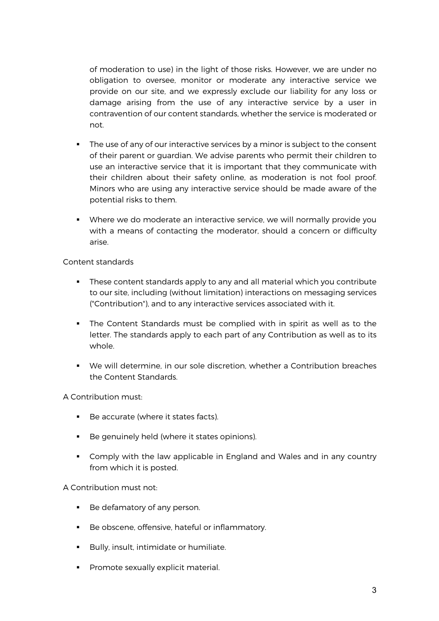of moderation to use) in the light of those risks. However, we are under no obligation to oversee, monitor or moderate any interactive service we provide on our site, and we expressly exclude our liability for any loss or damage arising from the use of any interactive service by a user in contravention of our content standards, whether the service is moderated or not.

- § The use of any of our interactive services by a minor is subject to the consent of their parent or guardian. We advise parents who permit their children to use an interactive service that it is important that they communicate with their children about their safety online, as moderation is not fool proof. Minors who are using any interactive service should be made aware of the potential risks to them.
- § Where we do moderate an interactive service, we will normally provide you with a means of contacting the moderator, should a concern or difficulty arise.

Content standards

- These content standards apply to any and all material which you contribute to our site, including (without limitation) interactions on messaging services ("Contribution"), and to any interactive services associated with it.
- The Content Standards must be complied with in spirit as well as to the letter. The standards apply to each part of any Contribution as well as to its whole.
- § We will determine, in our sole discretion, whether a Contribution breaches the Content Standards.

A Contribution must:

- Be accurate (where it states facts).
- Be genuinely held (where it states opinions).
- § Comply with the law applicable in England and Wales and in any country from which it is posted.

A Contribution must not:

- Be defamatory of any person.
- Be obscene, offensive, hateful or inflammatory.
- **•** Bully, insult, intimidate or humiliate.
- **•** Promote sexually explicit material.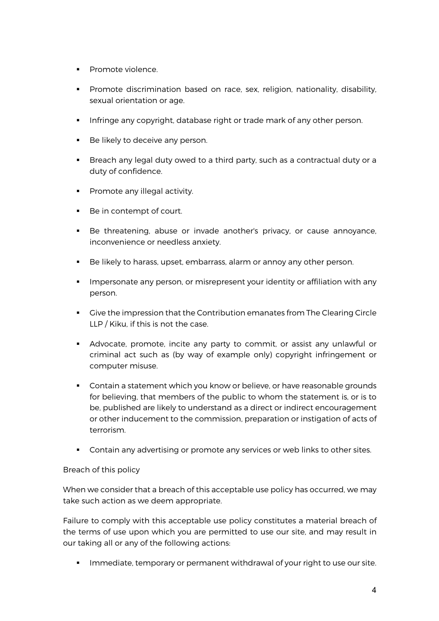- § Promote violence.
- § Promote discrimination based on race, sex, religion, nationality, disability, sexual orientation or age.
- **•** Infringe any copyright, database right or trade mark of any other person.
- Be likely to deceive any person.
- **•** Breach any legal duty owed to a third party, such as a contractual duty or a duty of confidence.
- **•** Promote any illegal activity.
- Be in contempt of court.
- § Be threatening, abuse or invade another's privacy, or cause annoyance, inconvenience or needless anxiety.
- § Be likely to harass, upset, embarrass, alarm or annoy any other person.
- **•** Impersonate any person, or misrepresent your identity or affiliation with any person.
- Give the impression that the Contribution emanates from The Clearing Circle LLP / Kiku, if this is not the case.
- § Advocate, promote, incite any party to commit, or assist any unlawful or criminal act such as (by way of example only) copyright infringement or computer misuse.
- **•** Contain a statement which you know or believe, or have reasonable grounds for believing, that members of the public to whom the statement is, or is to be, published are likely to understand as a direct or indirect encouragement or other inducement to the commission, preparation or instigation of acts of terrorism.
- **•** Contain any advertising or promote any services or web links to other sites.

# Breach of this policy

When we consider that a breach of this acceptable use policy has occurred, we may take such action as we deem appropriate.

Failure to comply with this acceptable use policy constitutes a material breach of the terms of use upon which you are permitted to use our site, and may result in our taking all or any of the following actions:

**•** Immediate, temporary or permanent withdrawal of your right to use our site.